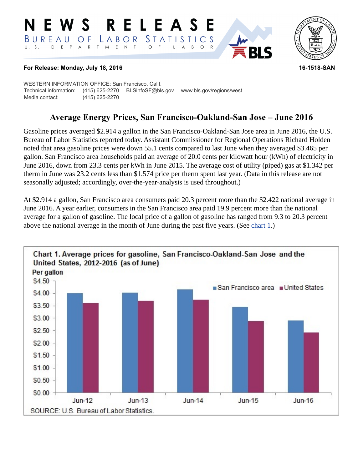#### RELEASE **N E W S** *STATISTICS* LABOR BUREAU O F D E P A R T M E N T  $U. S.$  $\circ$  $B$  $\circ$  $\mathsf{L}$  $\overline{A}$



## **For Release: Monday, July 18, 2016 16-1518-SAN**

WESTERN INFORMATION OFFICE: San Francisco, Calif. Technical information: (415) 625-2270 BLSinfoSF@bls.gov www.bls.gov/regions/west Media contact: (415) 625-2270

# **Average Energy Prices, San Francisco-Oakland-San Jose – June 2016**

Gasoline prices averaged \$2.914 a gallon in the San Francisco-Oakland-San Jose area in June 2016, the U.S. Bureau of Labor Statistics reported today. Assistant Commissioner for Regional Operations Richard Holden noted that area gasoline prices were down 55.1 cents compared to last June when they averaged \$3.465 per gallon. San Francisco area households paid an average of 20.0 cents per kilowatt hour (kWh) of electricity in June 2016, down from 23.3 cents per kWh in June 2015. The average cost of utility (piped) gas at \$1.342 per therm in June was 23.2 cents less than \$1.574 price per therm spent last year. (Data in this release are not seasonally adjusted; accordingly, over-the-year-analysis is used throughout.)

At \$2.914 a gallon, San Francisco area consumers paid 20.3 percent more than the \$2.422 national average in June 2016. A year earlier, consumers in the San Francisco area paid 19.9 percent more than the national average for a gallon of gasoline. The local price of a gallon of gasoline has ranged from 9.3 to 20.3 percent above the national average in the month of June during the past five years. (See [chart 1.](#page-0-0))

<span id="page-0-0"></span>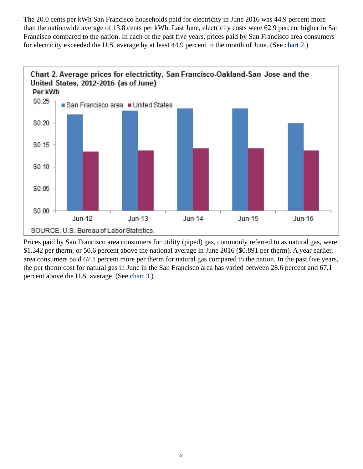The 20.0 cents per kWh San Francisco households paid for electricity in June 2016 was 44.9 percent more than the nationwide average of 13.8 cents per kWh. Last June, electricity costs were 62.9 percent higher in San Francisco compared to the nation. In each of the past five years, prices paid by San Francisco area consumers for electricity exceeded the U.S. average by at least 44.9 percent in the month of June. (See [chart 2](#page-1-0).)

<span id="page-1-0"></span>

<span id="page-1-1"></span>Prices paid by San Francisco area consumers for utility (piped) gas, commonly referred to as natural gas, were \$1.342 per therm, or 50.6 percent above the national average in June 2016 (\$0.891 per therm). A year earlier, area consumers paid 67.1 percent more per therm for natural gas compared to the nation. In the past five years, the per therm cost for natural gas in June in the San Francisco area has varied between 28.6 percent and 67.1 percent above the U.S. average. (See [chart 3](#page-1-1).)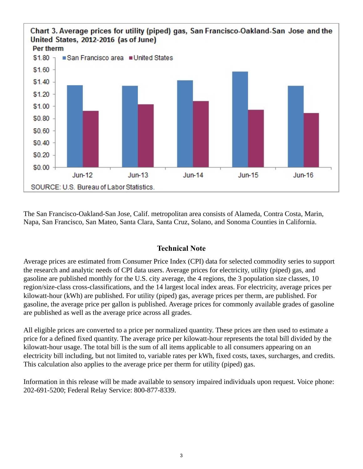

The San Francisco-Oakland-San Jose, Calif. metropolitan area consists of Alameda, Contra Costa, Marin, Napa, San Francisco, San Mateo, Santa Clara, Santa Cruz, Solano, and Sonoma Counties in California.

## **Technical Note**

Average prices are estimated from Consumer Price Index (CPI) data for selected commodity series to support the research and analytic needs of CPI data users. Average prices for electricity, utility (piped) gas, and gasoline are published monthly for the U.S. city average, the 4 regions, the 3 population size classes, 10 region/size-class cross-classifications, and the 14 largest local index areas. For electricity, average prices per kilowatt-hour (kWh) are published. For utility (piped) gas, average prices per therm, are published. For gasoline, the average price per gallon is published. Average prices for commonly available grades of gasoline are published as well as the average price across all grades.

All eligible prices are converted to a price per normalized quantity. These prices are then used to estimate a price for a defined fixed quantity. The average price per kilowatt-hour represents the total bill divided by the kilowatt-hour usage. The total bill is the sum of all items applicable to all consumers appearing on an electricity bill including, but not limited to, variable rates per kWh, fixed costs, taxes, surcharges, and credits. This calculation also applies to the average price per therm for utility (piped) gas.

Information in this release will be made available to sensory impaired individuals upon request. Voice phone: 202-691-5200; Federal Relay Service: 800-877-8339.